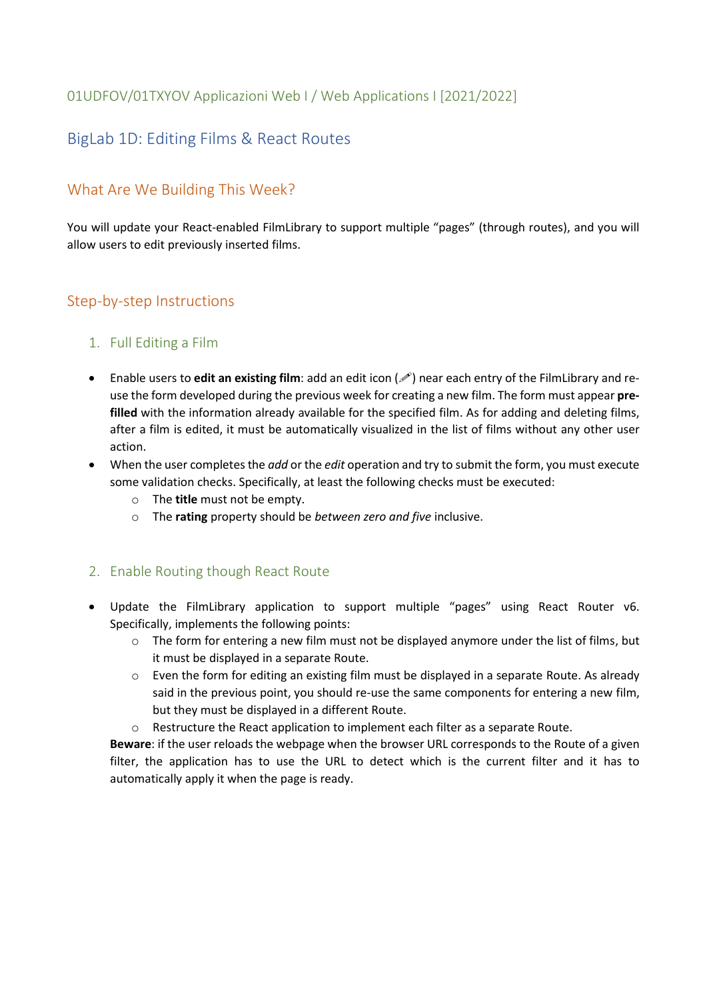## 01UDFOV/01TXYOV Applicazioni Web I / Web Applications I [2021/2022]

# BigLab 1D: Editing Films & React Routes

# What Are We Building This Week?

You will update your React-enabled FilmLibrary to support multiple "pages" (through routes), and you will allow users to edit previously inserted films.

## Step-by-step Instructions

### 1. Full Editing a Film

- Enable users to **edit an existing film**: add an edit icon  $(\mathscr{I})$  near each entry of the FilmLibrary and reuse the form developed during the previous week for creating a new film. The form must appear **prefilled** with the information already available for the specified film. As for adding and deleting films, after a film is edited, it must be automatically visualized in the list of films without any other user action.
- When the user completes the *add* or the *edit* operation and try to submit the form, you must execute some validation checks. Specifically, at least the following checks must be executed:
	- o The **title** must not be empty.
	- o The **rating** property should be *between zero and five* inclusive.

### 2. Enable Routing though React Route

- Update the FilmLibrary application to support multiple "pages" using React Router v6. Specifically, implements the following points:
	- $\circ$  The form for entering a new film must not be displayed anymore under the list of films, but it must be displayed in a separate Route.
	- $\circ$  Even the form for editing an existing film must be displayed in a separate Route. As already said in the previous point, you should re-use the same components for entering a new film, but they must be displayed in a different Route.
	- $\circ$  Restructure the React application to implement each filter as a separate Route.

**Beware**: if the user reloads the webpage when the browser URL corresponds to the Route of a given filter, the application has to use the URL to detect which is the current filter and it has to automatically apply it when the page is ready.